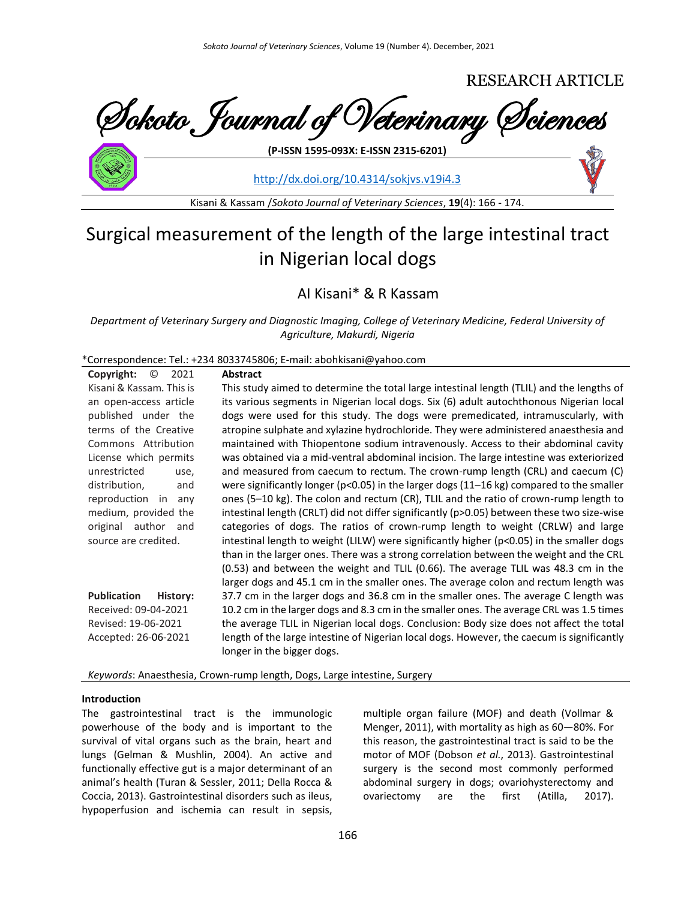

<http://dx.doi.org/10.4314/sokjvs.v19i4.3>

Kisani & Kassam /*Sokoto Journal of Veterinary Sciences*, **19**(4): 166 - 174.

# Surgical measurement of the length of the large intestinal tract in Nigerian local dogs

# AI Kisani\* & R Kassam

*Department of Veterinary Surgery and Diagnostic Imaging, College of Veterinary Medicine, Federal University of Agriculture, Makurdi, Nigeria*

\*Correspondence: Tel.: +234 8033745806; E-mail: abohkisani@yahoo.com

| $\circledcirc$<br>Copyright:<br>2021 | <b>Abstract</b>                                                                                                          |
|--------------------------------------|--------------------------------------------------------------------------------------------------------------------------|
| Kisani & Kassam. This is             | This study aimed to determine the total large intestinal length (TLIL) and the lengths of                                |
| an open-access article               | its various segments in Nigerian local dogs. Six (6) adult autochthonous Nigerian local                                  |
| published under the                  | dogs were used for this study. The dogs were premedicated, intramuscularly, with                                         |
| terms of the Creative                | atropine sulphate and xylazine hydrochloride. They were administered anaesthesia and                                     |
| Commons Attribution                  | maintained with Thiopentone sodium intravenously. Access to their abdominal cavity                                       |
| License which permits                | was obtained via a mid-ventral abdominal incision. The large intestine was exteriorized                                  |
| unrestricted<br>use,                 | and measured from caecum to rectum. The crown-rump length (CRL) and caecum (C)                                           |
| distribution,<br>and                 | were significantly longer ( $p<0.05$ ) in the larger dogs (11–16 kg) compared to the smaller                             |
| reproduction in<br>any               | ones (5-10 kg). The colon and rectum (CR), TLIL and the ratio of crown-rump length to                                    |
| medium, provided the                 | intestinal length (CRLT) did not differ significantly (p>0.05) between these two size-wise                               |
| original author<br>and               | categories of dogs. The ratios of crown-rump length to weight (CRLW) and large                                           |
| source are credited.                 | intestinal length to weight (LILW) were significantly higher (p<0.05) in the smaller dogs                                |
|                                      | than in the larger ones. There was a strong correlation between the weight and the CRL                                   |
|                                      | (0.53) and between the weight and TLIL (0.66). The average TLIL was 48.3 cm in the                                       |
|                                      | larger dogs and 45.1 cm in the smaller ones. The average colon and rectum length was                                     |
| <b>Publication</b><br>History:       | 37.7 cm in the larger dogs and 36.8 cm in the smaller ones. The average C length was                                     |
| Received: 09-04-2021                 | 10.2 cm in the larger dogs and 8.3 cm in the smaller ones. The average CRL was 1.5 times                                 |
| Revised: 19-06-2021                  | the average TLIL in Nigerian local dogs. Conclusion: Body size does not affect the total                                 |
| Accepted: 26-06-2021                 | length of the large intestine of Nigerian local dogs. However, the caecum is significantly<br>longer in the bigger dogs. |

*Keywords*: Anaesthesia, Crown-rump length, Dogs, Large intestine, Surgery

# **Introduction**

The gastrointestinal tract is the immunologic powerhouse of the body and is important to the survival of vital organs such as the brain, heart and lungs (Gelman & Mushlin, 2004). An active and functionally effective gut is a major determinant of an animal's health (Turan & Sessler, 2011; Della Rocca & Coccia, 2013). Gastrointestinal disorders such as ileus, hypoperfusion and ischemia can result in sepsis,

multiple organ failure (MOF) and death (Vollmar & Menger, 2011), with mortality as high as 60—80%. For this reason, the gastrointestinal tract is said to be the motor of MOF (Dobson *et al.*, 2013). Gastrointestinal surgery is the second most commonly performed abdominal surgery in dogs; ovariohysterectomy and ovariectomy are the first (Atilla, 2017).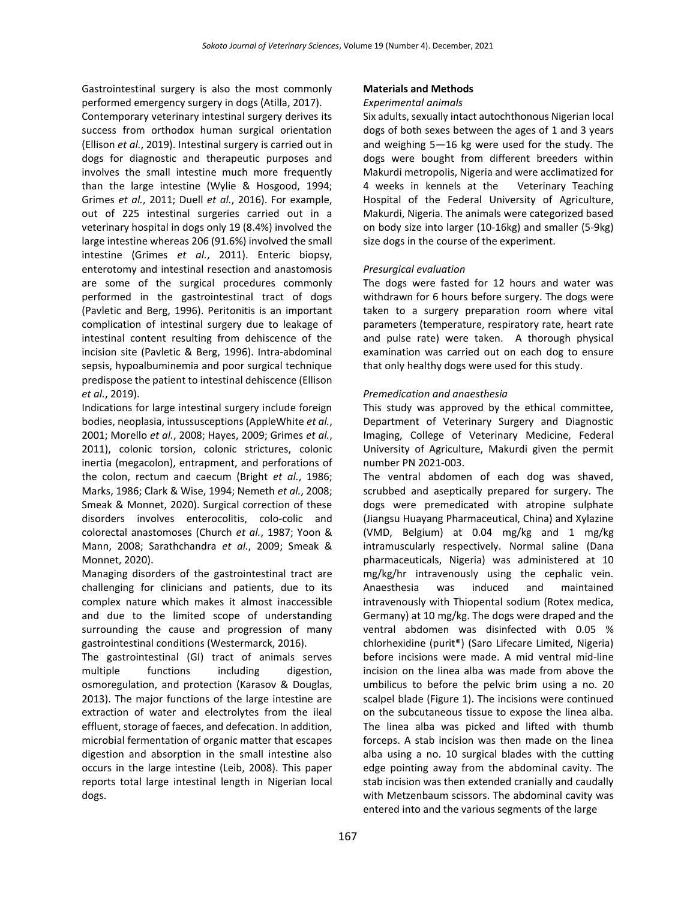Gastrointestinal surgery is also the most commonly performed emergency surgery in dogs (Atilla, 2017).

Contemporary veterinary intestinal surgery derives its success from orthodox human surgical orientation (Ellison *et al.*, 2019). Intestinal surgery is carried out in dogs for diagnostic and therapeutic purposes and involves the small intestine much more frequently than the large intestine (Wylie & Hosgood, 1994; Grimes *et al.*, 2011; Duell *et al.*, 2016). For example, out of 225 intestinal surgeries carried out in a veterinary hospital in dogs only 19 (8.4%) involved the large intestine whereas 206 (91.6%) involved the small intestine (Grimes *et al.*, 2011). Enteric biopsy, enterotomy and intestinal resection and anastomosis are some of the surgical procedures commonly performed in the gastrointestinal tract of dogs (Pavletic and Berg, 1996). Peritonitis is an important complication of intestinal surgery due to leakage of intestinal content resulting from dehiscence of the incision site (Pavletic & Berg, 1996). Intra-abdominal sepsis, hypoalbuminemia and poor surgical technique predispose the patient to intestinal dehiscence (Ellison *et al.*, 2019).

Indications for large intestinal surgery include foreign bodies, neoplasia, intussusceptions (AppleWhite *et al.*, 2001; Morello *et al.*, 2008; Hayes, 2009; Grimes *et al.*, 2011), colonic torsion, colonic strictures, colonic inertia (megacolon), entrapment, and perforations of the colon, rectum and caecum (Bright *et al.*, 1986; Marks, 1986; Clark & Wise, 1994; Nemeth *et al.*, 2008; Smeak & Monnet, 2020). Surgical correction of these disorders involves enterocolitis, colo-colic and colorectal anastomoses (Church *et al.*, 1987; Yoon & Mann, 2008; Sarathchandra *et al.*, 2009; Smeak & Monnet, 2020).

Managing disorders of the gastrointestinal tract are challenging for clinicians and patients, due to its complex nature which makes it almost inaccessible and due to the limited scope of understanding surrounding the cause and progression of many gastrointestinal conditions (Westermarck, 2016).

The gastrointestinal (GI) tract of animals serves multiple functions including digestion, osmoregulation, and protection (Karasov & Douglas, 2013). The major functions of the large intestine are extraction of water and electrolytes from the ileal effluent, storage of faeces, and defecation. In addition, microbial fermentation of organic matter that escapes digestion and absorption in the small intestine also occurs in the large intestine (Leib, 2008). This paper reports total large intestinal length in Nigerian local dogs.

#### **Materials and Methods**

# *Experimental animals*

Six adults, sexually intact autochthonous Nigerian local dogs of both sexes between the ages of 1 and 3 years and weighing 5—16 kg were used for the study. The dogs were bought from different breeders within Makurdi metropolis, Nigeria and were acclimatized for 4 weeks in kennels at the Veterinary Teaching Hospital of the Federal University of Agriculture, Makurdi, Nigeria. The animals were categorized based on body size into larger (10-16kg) and smaller (5-9kg) size dogs in the course of the experiment.

# *Presurgical evaluation*

The dogs were fasted for 12 hours and water was withdrawn for 6 hours before surgery. The dogs were taken to a surgery preparation room where vital parameters (temperature, respiratory rate, heart rate and pulse rate) were taken. A thorough physical examination was carried out on each dog to ensure that only healthy dogs were used for this study.

# *Premedication and anaesthesia*

This study was approved by the ethical committee, Department of Veterinary Surgery and Diagnostic Imaging, College of Veterinary Medicine, Federal University of Agriculture, Makurdi given the permit number PN 2021-003.

The ventral abdomen of each dog was shaved, scrubbed and aseptically prepared for surgery. The dogs were premedicated with atropine sulphate (Jiangsu Huayang Pharmaceutical, China) and Xylazine (VMD, Belgium) at 0.04 mg/kg and 1 mg/kg intramuscularly respectively. Normal saline (Dana pharmaceuticals, Nigeria) was administered at 10 mg/kg/hr intravenously using the cephalic vein. Anaesthesia was induced and maintained intravenously with Thiopental sodium (Rotex medica, Germany) at 10 mg/kg. The dogs were draped and the ventral abdomen was disinfected with 0.05 % chlorhexidine (purit®) (Saro Lifecare Limited, Nigeria) before incisions were made. A mid ventral mid-line incision on the linea alba was made from above the umbilicus to before the pelvic brim using a no. 20 scalpel blade (Figure 1). The incisions were continued on the subcutaneous tissue to expose the linea alba. The linea alba was picked and lifted with thumb forceps. A stab incision was then made on the linea alba using a no. 10 surgical blades with the cutting edge pointing away from the abdominal cavity. The stab incision was then extended cranially and caudally with Metzenbaum scissors. The abdominal cavity was entered into and the various segments of the large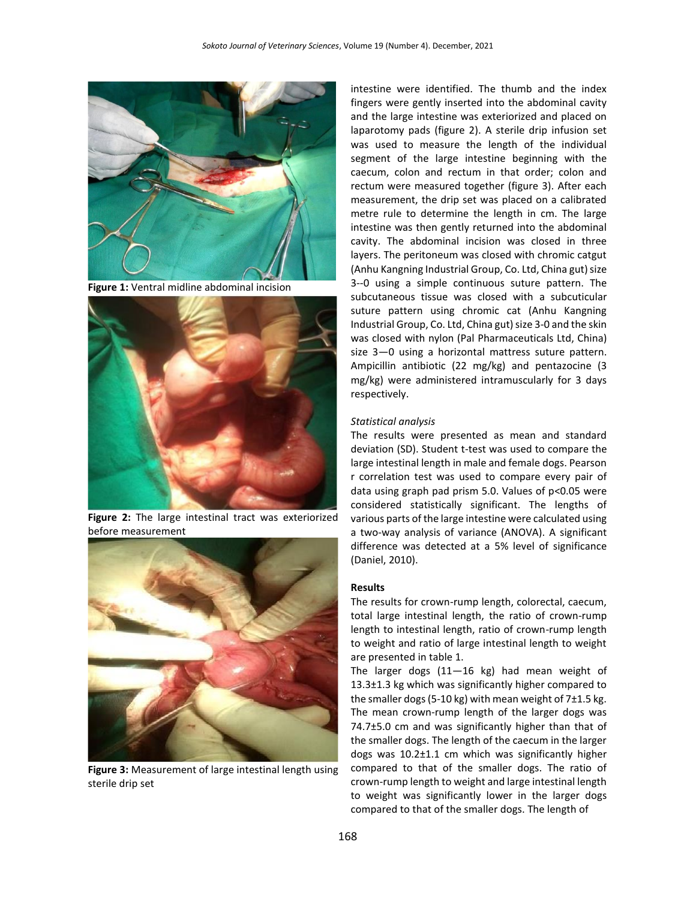

**Figure 1:** Ventral midline abdominal incision



**Figure 2:** The large intestinal tract was exteriorized before measurement



**Figure 3:** Measurement of large intestinal length using sterile drip set

intestine were identified. The thumb and the index fingers were gently inserted into the abdominal cavity and the large intestine was exteriorized and placed on laparotomy pads (figure 2). A sterile drip infusion set was used to measure the length of the individual segment of the large intestine beginning with the caecum, colon and rectum in that order; colon and rectum were measured together (figure 3). After each measurement, the drip set was placed on a calibrated metre rule to determine the length in cm. The large intestine was then gently returned into the abdominal cavity. The abdominal incision was closed in three layers. The peritoneum was closed with chromic catgut (Anhu Kangning Industrial Group, Co. Ltd, China gut) size 3--0 using a simple continuous suture pattern. The subcutaneous tissue was closed with a subcuticular suture pattern using chromic cat (Anhu Kangning Industrial Group, Co. Ltd, China gut) size 3-0 and the skin was closed with nylon (Pal Pharmaceuticals Ltd, China) size 3—0 using a horizontal mattress suture pattern. Ampicillin antibiotic (22 mg/kg) and pentazocine (3 mg/kg) were administered intramuscularly for 3 days respectively.

#### *Statistical analysis*

The results were presented as mean and standard deviation (SD). Student t-test was used to compare the large intestinal length in male and female dogs. Pearson r correlation test was used to compare every pair of data using graph pad prism 5.0. Values of p<0.05 were considered statistically significant. The lengths of various parts of the large intestine were calculated using a two-way analysis of variance (ANOVA). A significant difference was detected at a 5% level of significance (Daniel, 2010).

#### **Results**

The results for crown-rump length, colorectal, caecum, total large intestinal length, the ratio of crown-rump length to intestinal length, ratio of crown-rump length to weight and ratio of large intestinal length to weight are presented in table 1.

The larger dogs (11—16 kg) had mean weight of 13.3±1.3 kg which was significantly higher compared to the smaller dogs (5-10 kg) with mean weight of 7±1.5 kg. The mean crown-rump length of the larger dogs was 74.7±5.0 cm and was significantly higher than that of the smaller dogs. The length of the caecum in the larger dogs was 10.2±1.1 cm which was significantly higher compared to that of the smaller dogs. The ratio of crown-rump length to weight and large intestinal length to weight was significantly lower in the larger dogs compared to that of the smaller dogs. The length of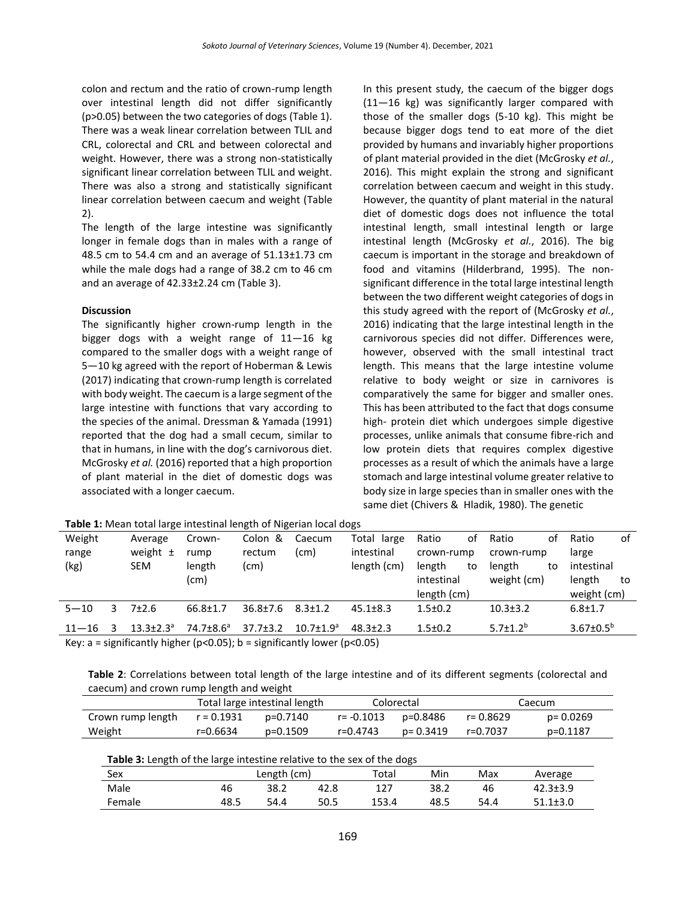colon and rectum and the ratio of crown-rump length over intestinal length did not differ significantly (p>0.05) between the two categories of dogs (Table 1). There was a weak linear correlation between TLIL and CRL, colorectal and CRL and between colorectal and weight. However, there was a strong non-statistically significant linear correlation between TLIL and weight. There was also a strong and statistically significant linear correlation between caecum and weight (Table 2).

The length of the large intestine was significantly longer in female dogs than in males with a range of 48.5 cm to 54.4 cm and an average of 51.13±1.73 cm while the male dogs had a range of 38.2 cm to 46 cm and an average of 42.33±2.24 cm (Table 3).

# **Discussion**

The significantly higher crown-rump length in the bigger dogs with a weight range of 11—16 kg compared to the smaller dogs with a weight range of 5—10 kg agreed with the report of Hoberman & Lewis (2017) indicating that crown-rump length is correlated with body weight. The caecum is a large segment of the large intestine with functions that vary according to the species of the animal. Dressman & Yamada (1991) reported that the dog had a small cecum, similar to that in humans, in line with the dog's carnivorous diet. McGrosky *et al.* (2016) reported that a high proportion of plant material in the diet of domestic dogs was associated with a longer caecum.

In this present study, the caecum of the bigger dogs (11—16 kg) was significantly larger compared with those of the smaller dogs (5-10 kg). This might be because bigger dogs tend to eat more of the diet provided by humans and invariably higher proportions of plant material provided in the diet (McGrosky *et al.*, 2016). This might explain the strong and significant correlation between caecum and weight in this study. However, the quantity of plant material in the natural diet of domestic dogs does not influence the total intestinal length, small intestinal length or large intestinal length (McGrosky *et al.*, 2016). The big caecum is important in the storage and breakdown of food and vitamins (Hilderbrand, 1995). The nonsignificant difference in the total large intestinal length between the two different weight categories of dogs in this study agreed with the report of (McGrosky *et al.*, 2016) indicating that the large intestinal length in the carnivorous species did not differ. Differences were, however, observed with the small intestinal tract length. This means that the large intestine volume relative to body weight or size in carnivores is comparatively the same for bigger and smaller ones. This has been attributed to the fact that dogs consume high- protein diet which undergoes simple digestive processes, unlike animals that consume fibre-rich and low protein diets that requires complex digestive processes as a result of which the animals have a large stomach and large intestinal volume greater relative to body size in large species than in smaller ones with the same diet (Chivers & Hladik, 1980). The genetic

| Weight    |            | Average        | Crown-                                                                                                                                                | Colon &        | Caecum           | Total large    | Ratio         | οf | Ratio                      | οf         | Ratio            | of |
|-----------|------------|----------------|-------------------------------------------------------------------------------------------------------------------------------------------------------|----------------|------------------|----------------|---------------|----|----------------------------|------------|------------------|----|
| range     |            | weight $\pm$   | rump                                                                                                                                                  | rectum         | (cm)             | intestinal     | crown-rump    |    |                            | crown-rump |                  |    |
| (kg)      | <b>SEM</b> |                | length                                                                                                                                                | (cm)           |                  | length (cm)    | length        | to | length                     | to         | intestinal       |    |
|           |            |                | (cm)                                                                                                                                                  |                |                  |                | intestinal    |    | weight (cm)                |            | length           | to |
|           |            |                |                                                                                                                                                       |                |                  |                | length (cm)   |    |                            |            | weight (cm)      |    |
| $5 - 10$  | 7±2.6      |                | $66.8 \pm 1.7$                                                                                                                                        | $36.8 \pm 7.6$ | $8.3 \pm 1.2$    | $45.1 \pm 8.3$ | $1.5 \pm 0.2$ |    | $10.3 \pm 3.2$             |            | $6.8 \pm 1.7$    |    |
| $11 - 16$ |            | $13.3 + 2.3^a$ | $74.7 \pm 8.6^a$                                                                                                                                      | $37.7 \pm 3.2$ | $10.7 \pm 1.9^a$ | $48.3 + 2.3$   | $1.5 \pm 0.2$ |    | 5.7 $\pm$ 1.2 <sup>b</sup> |            | $3.67 \pm 0.5^b$ |    |
|           |            |                | $\mathbf{R}$ . The set of the set of the set of $\mathbf{R}$ and $\mathbf{R}$ is the set of the set of $\mathbf{R}$ and $\mathbf{R}$ and $\mathbf{R}$ |                |                  |                |               |    |                            |            |                  |    |

**Table 1:** Mean total large intestinal length of Nigerian local dogs

Key: a = significantly higher ( $p$ <0.05); b = significantly lower ( $p$ <0.05)

| Table 2: Correlations between total length of the large intestine and of its different segments (colorectal and |  |  |  |  |
|-----------------------------------------------------------------------------------------------------------------|--|--|--|--|
| caecum) and crown rump length and weight                                                                        |  |  |  |  |

|                   |              | Total large intestinal length |            | Colorectal | Caecum    |           |  |
|-------------------|--------------|-------------------------------|------------|------------|-----------|-----------|--|
| Crown rump length | $r = 0.1931$ | p=0.7140                      | r= -0.1013 | p=0.8486   | r= 0.8629 | p= 0.0269 |  |
| Weight            | r=0.6634     | p=0.1509                      | r=0.4743   | p= 0.3419  | r=0.7037  | p=0.1187  |  |

| <u>. www.extragenter.com/windows.com/windows.com/windows/w</u><br>Sex |      | Length (cm) |      |       | Min  | Max  | Average        |
|-----------------------------------------------------------------------|------|-------------|------|-------|------|------|----------------|
| Male                                                                  | 46   | 38.2        | 42.8 | 127   | 38.2 | 46   | $42.3 \pm 3.9$ |
| Female                                                                | 48.5 | 54.4        | 50.5 | 153.4 | 48.5 | 54.4 | $51.1 \pm 3.0$ |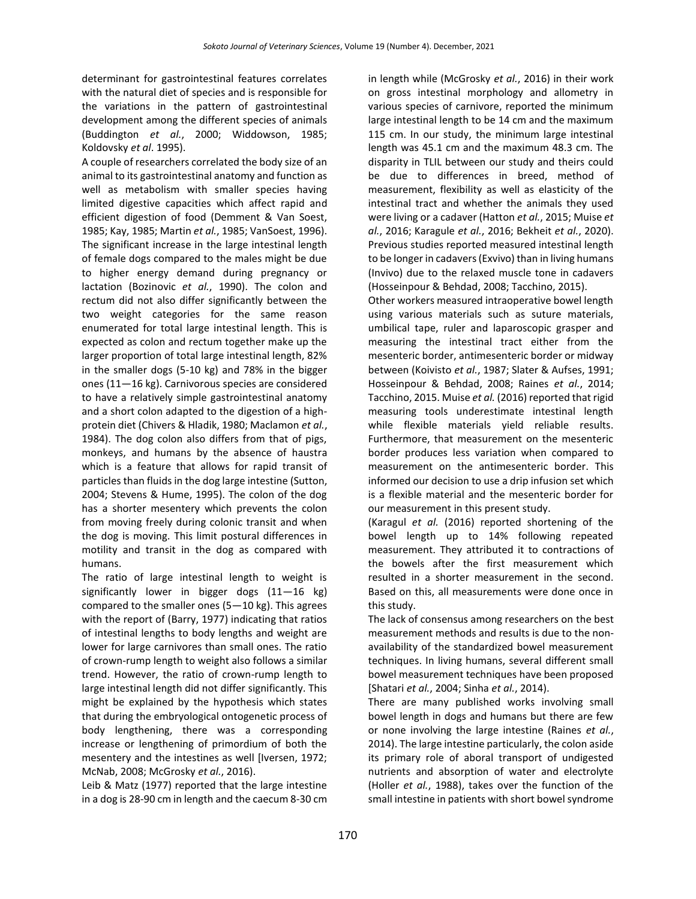determinant for gastrointestinal features correlates with the natural diet of species and is responsible for the variations in the pattern of gastrointestinal development among the different species of animals (Buddington *et al.*, 2000; Widdowson, 1985; Koldovsky *et al*. 1995).

A couple of researchers correlated the body size of an animal to its gastrointestinal anatomy and function as well as metabolism with smaller species having limited digestive capacities which affect rapid and efficient digestion of food (Demment & Van Soest, 1985; Kay, 1985; Martin *et al.*, 1985; VanSoest, 1996). The significant increase in the large intestinal length of female dogs compared to the males might be due to higher energy demand during pregnancy or lactation (Bozinovic *et al.*, 1990). The colon and rectum did not also differ significantly between the two weight categories for the same reason enumerated for total large intestinal length. This is expected as colon and rectum together make up the larger proportion of total large intestinal length, 82% in the smaller dogs (5-10 kg) and 78% in the bigger ones (11—16 kg). Carnivorous species are considered to have a relatively simple gastrointestinal anatomy and a short colon adapted to the digestion of a highprotein diet (Chivers & Hladik, 1980; Maclamon *et al.*, 1984). The dog colon also differs from that of pigs, monkeys, and humans by the absence of haustra which is a feature that allows for rapid transit of particles than fluids in the dog large intestine (Sutton, 2004; Stevens & Hume, 1995). The colon of the dog has a shorter mesentery which prevents the colon from moving freely during colonic transit and when the dog is moving. This limit postural differences in motility and transit in the dog as compared with humans.

The ratio of large intestinal length to weight is significantly lower in bigger dogs (11—16 kg) compared to the smaller ones (5—10 kg). This agrees with the report of (Barry, 1977) indicating that ratios of intestinal lengths to body lengths and weight are lower for large carnivores than small ones. The ratio of crown-rump length to weight also follows a similar trend. However, the ratio of crown-rump length to large intestinal length did not differ significantly. This might be explained by the hypothesis which states that during the embryological ontogenetic process of body lengthening, there was a corresponding increase or lengthening of primordium of both the mesentery and the intestines as well [Iversen, 1972; McNab, 2008; McGrosky *et al.*, 2016).

Leib & Matz (1977) reported that the large intestine in a dog is 28-90 cm in length and the caecum 8-30 cm in length while (McGrosky *et al.*, 2016) in their work on gross intestinal morphology and allometry in various species of carnivore, reported the minimum large intestinal length to be 14 cm and the maximum 115 cm. In our study, the minimum large intestinal length was 45.1 cm and the maximum 48.3 cm. The disparity in TLIL between our study and theirs could be due to differences in breed, method of measurement, flexibility as well as elasticity of the intestinal tract and whether the animals they used were living or a cadaver (Hatton *et al.*, 2015; Muise *et al.*, 2016; Karagule *et al.*, 2016; Bekheit *et al.*, 2020). Previous studies reported measured intestinal length to be longer in cadavers (Exvivo) than in living humans (Invivo) due to the relaxed muscle tone in cadavers (Hosseinpour & Behdad, 2008; Tacchino, 2015).

Other workers measured intraoperative bowel length using various materials such as suture materials, umbilical tape, ruler and laparoscopic grasper and measuring the intestinal tract either from the mesenteric border, antimesenteric border or midway between (Koivisto *et al.*, 1987; Slater & Aufses, 1991; Hosseinpour & Behdad, 2008; Raines *et al.*, 2014; Tacchino, 2015. Muise *et al.* (2016) reported that rigid measuring tools underestimate intestinal length while flexible materials yield reliable results. Furthermore, that measurement on the mesenteric border produces less variation when compared to measurement on the antimesenteric border. This informed our decision to use a drip infusion set which is a flexible material and the mesenteric border for our measurement in this present study.

(Karagul *et al.* (2016) reported shortening of the bowel length up to 14% following repeated measurement. They attributed it to contractions of the bowels after the first measurement which resulted in a shorter measurement in the second. Based on this, all measurements were done once in this study.

The lack of consensus among researchers on the best measurement methods and results is due to the nonavailability of the standardized bowel measurement techniques. In living humans, several different small bowel measurement techniques have been proposed [Shatari *et al.*, 2004; Sinha *et al.*, 2014).

There are many published works involving small bowel length in dogs and humans but there are few or none involving the large intestine (Raines *et al.*, 2014). The large intestine particularly, the colon aside its primary role of aboral transport of undigested nutrients and absorption of water and electrolyte (Holler *et al.*, 1988), takes over the function of the small intestine in patients with short bowel syndrome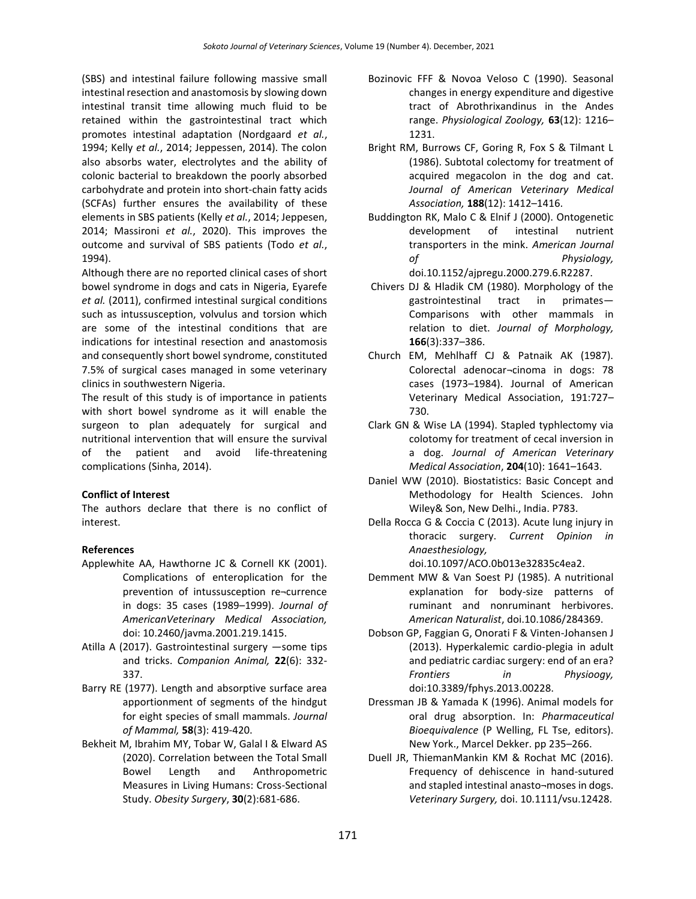(SBS) and intestinal failure following massive small intestinal resection and anastomosis by slowing down intestinal transit time allowing much fluid to be retained within the gastrointestinal tract which promotes intestinal adaptation (Nordgaard *et al.*, 1994; Kelly *et al.*, 2014; Jeppessen, 2014). The colon also absorbs water, electrolytes and the ability of colonic bacterial to breakdown the poorly absorbed carbohydrate and protein into short-chain fatty acids (SCFAs) further ensures the availability of these elements in SBS patients (Kelly *et al.*, 2014; Jeppesen, 2014; Massironi *et al.*, 2020). This improves the outcome and survival of SBS patients (Todo *et al.*, 1994).

Although there are no reported clinical cases of short bowel syndrome in dogs and cats in Nigeria, Eyarefe *et al.* (2011), confirmed intestinal surgical conditions such as intussusception, volvulus and torsion which are some of the intestinal conditions that are indications for intestinal resection and anastomosis and consequently short bowel syndrome, constituted 7.5% of surgical cases managed in some veterinary clinics in southwestern Nigeria.

The result of this study is of importance in patients with short bowel syndrome as it will enable the surgeon to plan adequately for surgical and nutritional intervention that will ensure the survival of the patient and avoid life-threatening complications (Sinha, 2014).

# **Conflict of Interest**

The authors declare that there is no conflict of interest.

# **References**

- Applewhite AA, Hawthorne JC & Cornell KK (2001). Complications of enteroplication for the prevention of intussusception re¬currence in dogs: 35 cases (1989–1999). *Journal of AmericanVeterinary Medical Association,* doi: 10.2460/javma.2001.219.1415.
- Atilla A (2017). Gastrointestinal surgery —some tips and tricks. *Companion Animal,* **22**(6): 332- 337.
- Barry RE (1977). Length and absorptive surface area apportionment of segments of the hindgut for eight species of small mammals. *Journal of Mammal,* **58**(3): 419-420.
- Bekheit M, Ibrahim MY, Tobar W, Galal I & Elward AS (2020). Correlation between the Total Small Bowel Length and Anthropometric Measures in Living Humans: Cross-Sectional Study. *Obesity Surgery*, **30**(2):681-686.
- Bozinovic FFF & Novoa Veloso C (1990). Seasonal changes in energy expenditure and digestive tract of Abrothrixandinus in the Andes range. *Physiological Zoology,* **63**(12): 1216– 1231.
- Bright RM, Burrows CF, Goring R, Fox S & Tilmant L (1986). Subtotal colectomy for treatment of acquired megacolon in the dog and cat. *Journal of American Veterinary Medical Association,* **188**(12): 1412–1416.
- Buddington RK, Malo C & Elnif J (2000). Ontogenetic development of intestinal nutrient transporters in the mink. *American Journal of Physiology,*  doi.10.1152/ajpregu.2000.279.6.R2287.
- Chivers DJ & Hladik CM (1980). Morphology of the gastrointestinal tract in primates— Comparisons with other mammals in relation to diet. *Journal of Morphology,* **166**(3):337–386.
- Church EM, Mehlhaff CJ & Patnaik AK (1987). Colorectal adenocar¬cinoma in dogs: 78 cases (1973–1984). Journal of American Veterinary Medical Association, 191:727– 730.
- Clark GN & Wise LA (1994). Stapled typhlectomy via colotomy for treatment of cecal inversion in a dog. *Journal of American Veterinary Medical Association*, **204**(10): 1641–1643.
- Daniel WW (2010). Biostatistics: Basic Concept and Methodology for Health Sciences. John Wiley& Son, New Delhi., India. P783.
- Della Rocca G & Coccia C (2013). Acute lung injury in thoracic surgery. *Current Opinion in Anaesthesiology,*

doi.10.1097/ACO.0b013e32835c4ea2.

- Demment MW & Van Soest PJ (1985). A nutritional explanation for body-size patterns of ruminant and nonruminant herbivores. *American Naturalist*, doi.10.1086/284369.
- Dobson GP, Faggian G, Onorati F & Vinten-Johansen J (2013). Hyperkalemic cardio-plegia in adult and pediatric cardiac surgery: end of an era? *Frontiers in Physioogy,* doi:10.3389/fphys.2013.00228.
- Dressman JB & Yamada K (1996). Animal models for oral drug absorption. In: *Pharmaceutical Bioequivalence* (P Welling, FL Tse, editors). New York., Marcel Dekker. pp 235–266.
- Duell JR, ThiemanMankin KM & Rochat MC (2016). Frequency of dehiscence in hand-sutured and stapled intestinal anasto¬moses in dogs. *Veterinary Surgery,* doi. 10.1111/vsu.12428.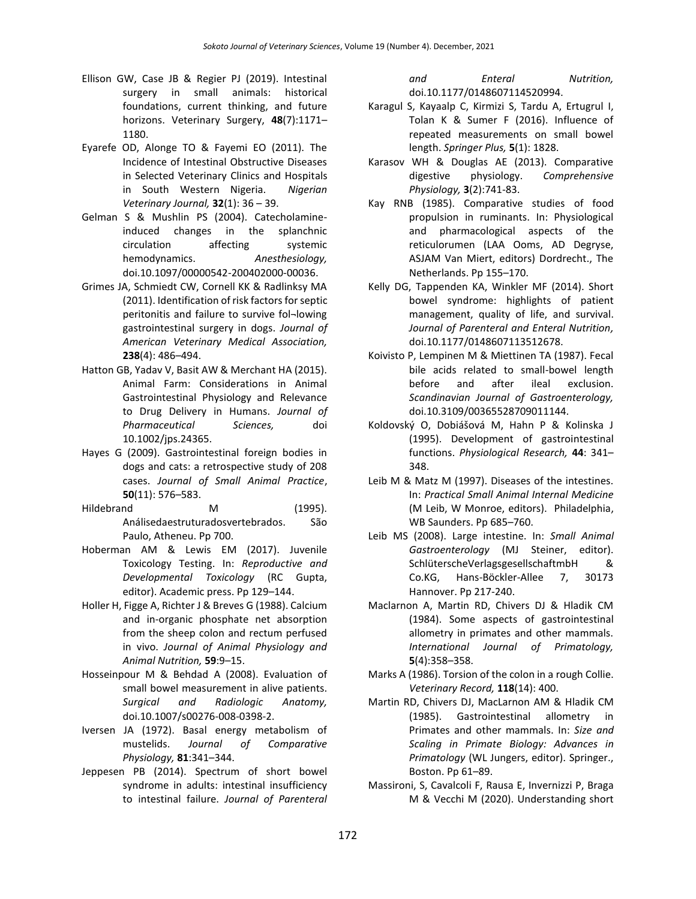- Ellison GW, Case JB & Regier PJ (2019). Intestinal surgery in small animals: historical foundations, current thinking, and future horizons. Veterinary Surgery, **48**(7):1171– 1180.
- Eyarefe OD, Alonge TO & Fayemi EO (2011). The Incidence of Intestinal Obstructive Diseases in Selected Veterinary Clinics and Hospitals in South Western Nigeria. *Nigerian Veterinary Journal,* **32**(1): 36 – 39.
- Gelman S & Mushlin PS (2004). Catecholamineinduced changes in the splanchnic circulation affecting systemic hemodynamics. *Anesthesiology,* doi.10.1097/00000542-200402000-00036.
- Grimes JA, Schmiedt CW, Cornell KK & Radlinksy MA (2011). Identification of risk factors for septic peritonitis and failure to survive fol¬lowing gastrointestinal surgery in dogs. *Journal of American Veterinary Medical Association,*  **238**(4): 486–494.
- Hatton GB, Yadav V, Basit AW & Merchant HA (2015). Animal Farm: Considerations in Animal Gastrointestinal Physiology and Relevance to Drug Delivery in Humans. *Journal of Pharmaceutical Sciences,* doi 10.1002/jps.24365.
- Hayes G (2009). Gastrointestinal foreign bodies in dogs and cats: a retrospective study of 208 cases. *Journal of Small Animal Practice*, **50**(11): 576–583.
- Hildebrand M (1995). Análisedaestruturadosvertebrados. São Paulo, Atheneu. Pp 700.
- Hoberman AM & Lewis EM (2017). Juvenile Toxicology Testing. In: *Reproductive and Developmental Toxicology* (RC Gupta, editor). Academic press. Pp 129–144.
- Holler H, Figge A, Richter J & Breves G (1988). Calcium and in-organic phosphate net absorption from the sheep colon and rectum perfused in vivo. *Journal of Animal Physiology and Animal Nutrition,* **59**:9–15.
- Hosseinpour M & Behdad A (2008). Evaluation of small bowel measurement in alive patients. *Surgical and Radiologic Anatomy,*  doi.10.1007/s00276-008-0398-2.
- Iversen JA (1972). Basal energy metabolism of mustelids. *Journal of Comparative Physiology,* **81**:341–344.
- Jeppesen PB (2014). Spectrum of short bowel syndrome in adults: intestinal insufficiency to intestinal failure. *Journal of Parenteral*

*and Enteral Nutrition,* doi.10.1177/0148607114520994.

- Karagul S, Kayaalp C, Kirmizi S, Tardu A, Ertugrul I, Tolan K & Sumer F (2016). Influence of repeated measurements on small bowel length. *Springer Plus,* **5**(1): 1828.
- Karasov WH & Douglas AE (2013). Comparative digestive physiology. *Comprehensive Physiology,* **3**(2):741-83.
- Kay RNB (1985). Comparative studies of food propulsion in ruminants. In: Physiological and pharmacological aspects of the reticulorumen (LAA Ooms, AD Degryse, ASJAM Van Miert, editors) Dordrecht., The Netherlands. Pp 155–170.
- Kelly DG, Tappenden KA, Winkler MF (2014). Short bowel syndrome: highlights of patient management, quality of life, and survival. *Journal of Parenteral and Enteral Nutrition,* doi.10.1177/0148607113512678.
- Koivisto P, Lempinen M & Miettinen TA (1987). Fecal bile acids related to small-bowel length before and after ileal exclusion. *Scandinavian Journal of Gastroenterology,* doi.10.3109/00365528709011144.
- Koldovský O, Dobiášová M, Hahn P & Kolinska J (1995). Development of gastrointestinal functions. *Physiological Research,* **44**: 341– 348.
- Leib M & Matz M (1997). Diseases of the intestines. In: *Practical Small Animal Internal Medicine* (M Leib, W Monroe, editors). Philadelphia, WB Saunders. Pp 685–760.
- Leib MS (2008). Large intestine. In: *Small Animal Gastroenterology* (MJ Steiner, editor). SchlüterscheVerlagsgesellschaftmbH & Co.KG, Hans-Böckler-Allee 7, 30173 Hannover. Pp 217-240.
- Maclarnon A, Martin RD, Chivers DJ & Hladik CM (1984). Some aspects of gastrointestinal allometry in primates and other mammals. *International Journal of Primatology,* **5**(4):358–358.
- Marks A (1986). Torsion of the colon in a rough Collie. *Veterinary Record,* **118**(14): 400.
- Martin RD, Chivers DJ, MacLarnon AM & Hladik CM (1985). Gastrointestinal allometry in Primates and other mammals. In: *Size and Scaling in Primate Biology: Advances in Primatology* (WL Jungers, editor). Springer., Boston. Pp 61–89.
- Massironi, S, Cavalcoli F, Rausa E, Invernizzi P, Braga M & Vecchi M (2020). Understanding short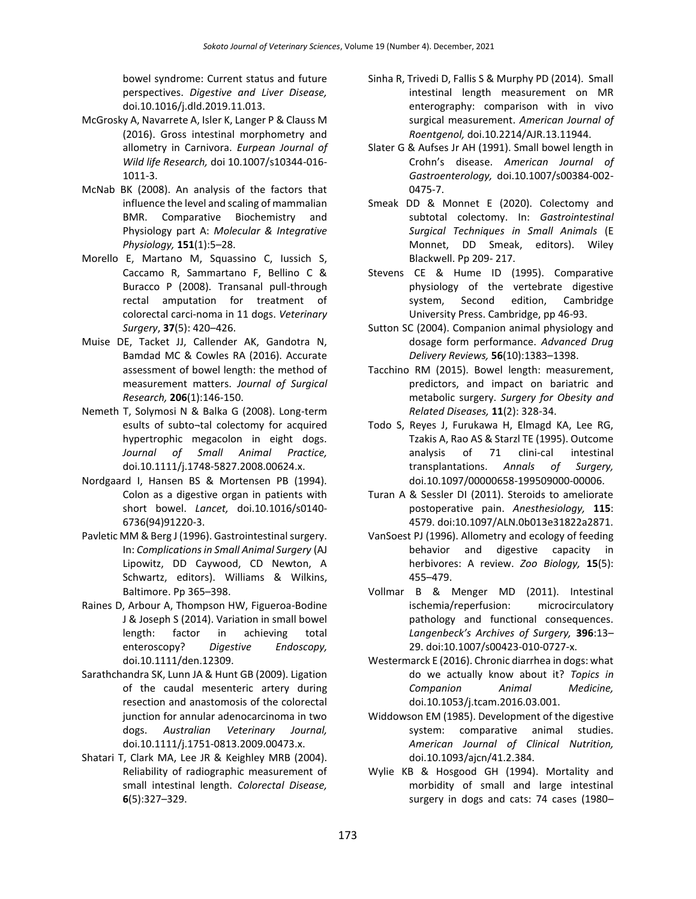bowel syndrome: Current status and future perspectives. *Digestive and Liver Disease,* doi.10.1016/j.dld.2019.11.013.

- McGrosky A, Navarrete A, Isler K, Langer P & Clauss M (2016). Gross intestinal morphometry and allometry in Carnivora. *Eurpean Journal of Wild life Research,* doi 10.1007/s10344-016- 1011-3.
- McNab BK (2008). An analysis of the factors that influence the level and scaling of mammalian BMR. Comparative Biochemistry and Physiology part A: *Molecular & Integrative Physiology,* **151**(1):5–28.
- Morello E, Martano M, Squassino C, Iussich S, Caccamo R, Sammartano F, Bellino C & Buracco P (2008). Transanal pull-through rectal amputation for treatment of colorectal carci-noma in 11 dogs. *Veterinary Surgery*, **37**(5): 420–426.
- Muise DE, Tacket JJ, Callender AK, Gandotra N, Bamdad MC & Cowles RA (2016). Accurate assessment of bowel length: the method of measurement matters. *Journal of Surgical Research,* **206**(1):146-150.
- Nemeth T, Solymosi N & Balka G (2008). Long-term esults of subto¬tal colectomy for acquired hypertrophic megacolon in eight dogs. *Journal of Small Animal Practice,* doi.10.1111/j.1748-5827.2008.00624.x.
- Nordgaard I, Hansen BS & Mortensen PB (1994). Colon as a digestive organ in patients with short bowel. *Lancet,* doi.10.1016/s0140- 6736(94)91220-3.
- Pavletic MM & Berg J (1996). Gastrointestinal surgery. In: *Complications in Small Animal Surgery* (AJ Lipowitz, DD Caywood, CD Newton, A Schwartz, editors). Williams & Wilkins, Baltimore. Pp 365–398.
- Raines D, Arbour A, Thompson HW, Figueroa-Bodine J & Joseph S (2014). Variation in small bowel length: factor in achieving total enteroscopy? *Digestive Endoscopy,* doi.10.1111/den.12309.
- Sarathchandra SK, Lunn JA & Hunt GB (2009). Ligation of the caudal mesenteric artery during resection and anastomosis of the colorectal junction for annular adenocarcinoma in two dogs. *Australian Veterinary Journal,* doi.10.1111/j.1751-0813.2009.00473.x.
- Shatari T, Clark MA, Lee JR & Keighley MRB (2004). Reliability of radiographic measurement of small intestinal length. *Colorectal Disease,* **6**(5):327–329.
- Sinha R, Trivedi D, Fallis S & Murphy PD (2014). Small intestinal length measurement on MR enterography: comparison with in vivo surgical measurement. *American Journal of Roentgenol,* doi.10.2214/AJR.13.11944.
- Slater G & Aufses Jr AH (1991). Small bowel length in Crohn's disease. *American Journal of Gastroenterology,* doi.10.1007/s00384-002- 0475-7.
- Smeak DD & Monnet E (2020). Colectomy and subtotal colectomy. In: *Gastrointestinal Surgical Techniques in Small Animals* (E Monnet, DD Smeak, editors). Wiley Blackwell. Pp 209- 217.
- Stevens CE & Hume ID (1995). Comparative physiology of the vertebrate digestive system, Second edition, Cambridge University Press. Cambridge, pp 46-93.
- Sutton SC (2004). Companion animal physiology and dosage form performance. *Advanced Drug Delivery Reviews,* **56**(10):1383–1398.
- Tacchino RM (2015). Bowel length: measurement, predictors, and impact on bariatric and metabolic surgery. *Surgery for Obesity and Related Diseases,* **11**(2): 328-34.
- Todo S, Reyes J, Furukawa H, Elmagd KA, Lee RG, Tzakis A, Rao AS & Starzl TE (1995). Outcome analysis of 71 clini-cal intestinal transplantations. *Annals of Surgery,* doi.10.1097/00000658-199509000-00006.
- Turan A & Sessler DI (2011). Steroids to ameliorate postoperative pain. *Anesthesiology,* **115**: 4579. doi:10.1097/ALN.0b013e31822a2871.
- VanSoest PJ (1996). Allometry and ecology of feeding behavior and digestive capacity in herbivores: A review. *Zoo Biology,* **15**(5): 455–479.
- Vollmar B & Menger MD (2011). Intestinal ischemia/reperfusion: microcirculatory pathology and functional consequences. *Langenbeck's Archives of Surgery,* **396**:13– 29. doi:10.1007/s00423-010-0727-x.
- Westermarck E (2016). Chronic diarrhea in dogs: what do we actually know about it? *Topics in Companion Animal Medicine,*  doi.10.1053/j.tcam.2016.03.001.
- Widdowson EM (1985). Development of the digestive system: comparative animal studies. *American Journal of Clinical Nutrition,* doi.10.1093/ajcn/41.2.384.
- Wylie KB & Hosgood GH (1994). Mortality and morbidity of small and large intestinal surgery in dogs and cats: 74 cases (1980–